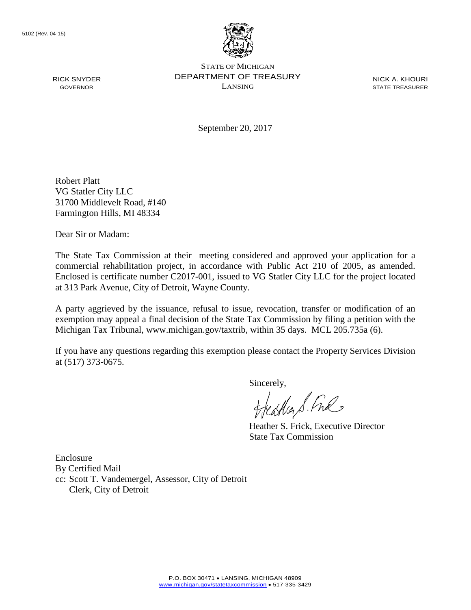RICK SNYDER GOVERNOR



STATE OF MICHIGAN DEPARTMENT OF TREASURY LANSING

NICK A. KHOURI STATE TREASURER

September 20, 2017

Robert Platt VG Statler City LLC 31700 Middlevelt Road, #140 Farmington Hills, MI 48334

Dear Sir or Madam:

The State Tax Commission at their meeting considered and approved your application for a commercial rehabilitation project, in accordance with Public Act 210 of 2005, as amended. Enclosed is certificate number C2017-001, issued to VG Statler City LLC for the project located at 313 Park Avenue, City of Detroit, Wayne County.

A party aggrieved by the issuance, refusal to issue, revocation, transfer or modification of an exemption may appeal a final decision of the State Tax Commission by filing a petition with the Michigan Tax Tribunal, www.michigan.gov/taxtrib, within 35 days. MCL 205.735a (6).

If you have any questions regarding this exemption please contact the Property Services Division at (517) 373-0675.

Sincerely,<br>freastler & Ful

Heather S. Frick, Executive Director State Tax Commission

Enclosure By Certified Mail cc: Scott T. Vandemergel, Assessor, City of Detroit Clerk, City of Detroit